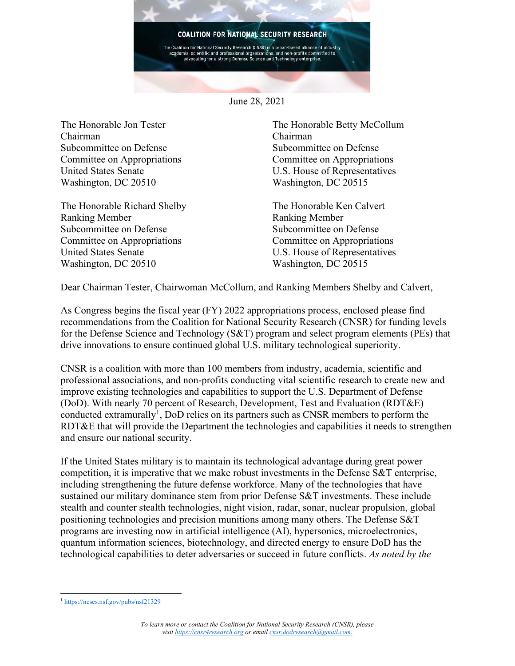

June 28, 2021

The Honorable Jon Tester Chairman Subcommittee on Defense Committee on Appropriations United States Senate Washington, DC 20510

The Honorable Richard Shelby Ranking Member Subcommittee on Defense Committee on Appropriations United States Senate Washington, DC 20510

The Honorable Betty McCollum Chairman Subcommittee on Defense Committee on Appropriations U.S. House of Representatives Washington, DC 20515

The Honorable Ken Calvert Ranking Member Subcommittee on Defense Committee on Appropriations U.S. House of Representatives Washington, DC 20515

Dear Chairman Tester, Chairwoman McCollum, and Ranking Members Shelby and Calvert,

As Congress begins the fiscal year (FY) 2022 appropriations process, enclosed please find recommendations from the Coalition for National Security Research (CNSR) for funding levels for the Defense Science and Technology (S&T) program and select program elements (PEs) that drive innovations to ensure continued global U.S. military technological superiority.

CNSR is a coalition with more than 100 members from industry, academia, scientific and professional associations, and non-profits conducting vital scientific research to create new and improve existing technologies and capabilities to support the U.S. Department of Defense (DoD). With nearly 70 percent of Research, Development, Test and Evaluation (RDT&E) conducted extramurally<sup>1</sup>, DoD relies on its partners such as CNSR members to perform the RDT&E that will provide the Department the technologies and capabilities it needs to strengthen and ensure our national security.

If the United States military is to maintain its technological advantage during great power competition, it is imperative that we make robust investments in the Defense S&T enterprise, including strengthening the future defense workforce. Many of the technologies that have sustained our military dominance stem from prior Defense S&T investments. These include stealth and counter stealth technologies, night vision, radar, sonar, nuclear propulsion, global positioning technologies and precision munitions among many others. The Defense S&T programs are investing now in artificial intelligence (AI), hypersonics, microelectronics, quantum information sciences, biotechnology, and directed energy to ensure DoD has the technological capabilities to deter adversaries or succeed in future conflicts. *As noted by the* 

<sup>1</sup> <https://ncses.nsf.gov/pubs/nsf21329>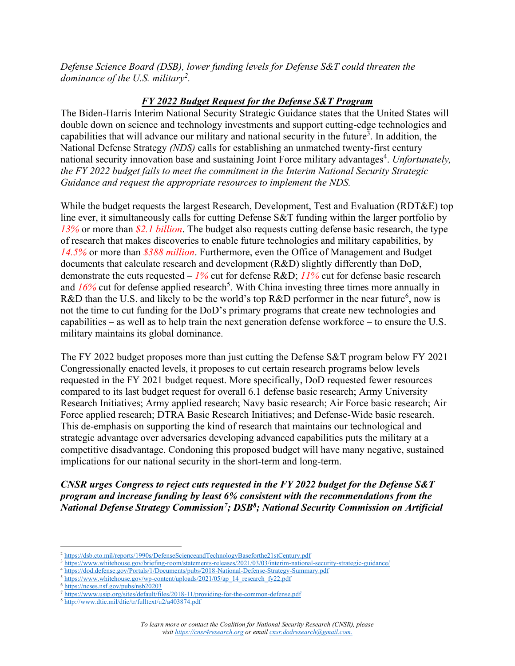*Defense Science Board (DSB), lower funding levels for Defense S&T could threaten the dominance of the U.S. military<sup>2</sup> .*

### *FY 2022 Budget Request for the Defense S&T Program*

The Biden-Harris Interim National Security Strategic Guidance states that the United States will double down on science and technology investments and support cutting-edge technologies and capabilities that will advance our military and national security in the future<sup>3</sup>. In addition, the National Defense Strategy *(NDS)* calls for establishing an unmatched twenty-first century national security innovation base and sustaining Joint Force military advantages<sup>4</sup>. Unfortunately, *the FY 2022 budget fails to meet the commitment in the Interim National Security Strategic Guidance and request the appropriate resources to implement the NDS.*

While the budget requests the largest Research, Development, Test and Evaluation (RDT&E) top line ever, it simultaneously calls for cutting Defense S&T funding within the larger portfolio by *13%* or more than *\$2.1 billion*. The budget also requests cutting defense basic research, the type of research that makes discoveries to enable future technologies and military capabilities, by *14.5%* or more than *\$388 million*. Furthermore, even the Office of Management and Budget documents that calculate research and development (R&D) slightly differently than DoD, demonstrate the cuts requested – *1%* cut for defense R&D; *11%* cut for defense basic research and 16% cut for defense applied research<sup>5</sup>. With China investing three times more annually in R&D than the U.S. and likely to be the world's top R&D performer in the near future<sup>6</sup>, now is not the time to cut funding for the DoD's primary programs that create new technologies and capabilities – as well as to help train the next generation defense workforce – to ensure the U.S. military maintains its global dominance.

The FY 2022 budget proposes more than just cutting the Defense S&T program below FY 2021 Congressionally enacted levels, it proposes to cut certain research programs below levels requested in the FY 2021 budget request. More specifically, DoD requested fewer resources compared to its last budget request for overall 6.1 defense basic research; Army University Research Initiatives; Army applied research; Navy basic research; Air Force basic research; Air Force applied research; DTRA Basic Research Initiatives; and Defense-Wide basic research. This de-emphasis on supporting the kind of research that maintains our technological and strategic advantage over adversaries developing advanced capabilities puts the military at a competitive disadvantage. Condoning this proposed budget will have many negative, sustained implications for our national security in the short-term and long-term.

*CNSR urges Congress to reject cuts requested in the FY 2022 budget for the Defense S&T program and increase funding by least 6% consistent with the recommendations from the National Defense Strategy Commission<sup>7</sup>; DSB<sup>8</sup>; National Security Commission on Artificial* 

<sup>2</sup> <https://dsb.cto.mil/reports/1990s/DefenseScienceandTechnologyBaseforthe21stCentury.pdf>

<sup>3</sup> <https://www.whitehouse.gov/briefing-room/statements-releases/2021/03/03/interim-national-security-strategic-guidance/>

<sup>4</sup> <https://dod.defense.gov/Portals/1/Documents/pubs/2018-National-Defense-Strategy-Summary.pdf>

<sup>&</sup>lt;sup>5</sup> [https://www.whitehouse.gov/wp-content/uploads/2021/05/ap\\_14\\_research\\_fy22.pdf](https://www.whitehouse.gov/wp-content/uploads/2021/05/ap_14_research_fy22.pdf)

<sup>6</sup> <https://ncses.nsf.gov/pubs/nsb20203>

<sup>7</sup> <https://www.usip.org/sites/default/files/2018-11/providing-for-the-common-defense.pdf>

<sup>8</sup> <http://www.dtic.mil/dtic/tr/fulltext/u2/a403874.pdf>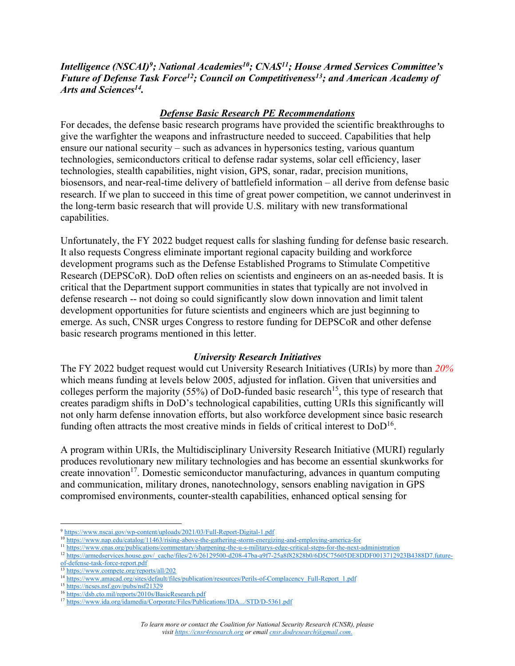*Intelligence (NSCAI)<sup>9</sup> ; National Academies<sup>10</sup>; CNAS<sup>11</sup>; House Armed Services Committee's Future of Defense Task Force<sup>12</sup>; Council on Competitiveness<sup>13</sup>; and American Academy of Arts and Sciences<sup>14</sup> .* 

### *Defense Basic Research PE Recommendations*

For decades, the defense basic research programs have provided the scientific breakthroughs to give the warfighter the weapons and infrastructure needed to succeed. Capabilities that help ensure our national security – such as advances in hypersonics testing, various quantum technologies, semiconductors critical to defense radar systems, solar cell efficiency, laser technologies, stealth capabilities, night vision, GPS, sonar, radar, precision munitions, biosensors, and near-real-time delivery of battlefield information – all derive from defense basic research. If we plan to succeed in this time of great power competition, we cannot underinvest in the long-term basic research that will provide U.S. military with new transformational capabilities.

Unfortunately, the FY 2022 budget request calls for slashing funding for defense basic research. It also requests Congress eliminate important regional capacity building and workforce development programs such as the Defense Established Programs to Stimulate Competitive Research (DEPSCoR). DoD often relies on scientists and engineers on an as-needed basis. It is critical that the Department support communities in states that typically are not involved in defense research -- not doing so could significantly slow down innovation and limit talent development opportunities for future scientists and engineers which are just beginning to emerge. As such, CNSR urges Congress to restore funding for DEPSCoR and other defense basic research programs mentioned in this letter.

#### *University Research Initiatives*

The FY 2022 budget request would cut University Research Initiatives (URIs) by more than *20%* which means funding at levels below 2005, adjusted for inflation. Given that universities and colleges perform the majority (55%) of DoD-funded basic research<sup>15</sup>, this type of research that creates paradigm shifts in DoD's technological capabilities, cutting URIs this significantly will not only harm defense innovation efforts, but also workforce development since basic research funding often attracts the most creative minds in fields of critical interest to  $DoD^{16}$ .

A program within URIs, the Multidisciplinary University Research Initiative (MURI) regularly produces revolutionary new military technologies and has become an essential skunkworks for create innovation<sup>17</sup>. Domestic semiconductor manufacturing, advances in quantum computing and communication, military drones, nanotechnology, sensors enabling navigation in GPS compromised environments, counter-stealth capabilities, enhanced optical sensing for

<sup>9</sup> <https://www.nscai.gov/wp-content/uploads/2021/03/Full-Report-Digital-1.pdf>

<sup>&</sup>lt;sup>10</sup> <https://www.nap.edu/catalog/11463/rising-above-the-gathering-storm-energizing-and-employing-america-for>

<sup>&</sup>lt;sup>11</sup> <https://www.cnas.org/publications/commentary/sharpening-the-u-s-militarys-edge-critical-steps-for-the-next-administration>

<sup>12</sup> [https://armedservices.house.gov/\\_cache/files/2/6/26129500-d208-47ba-a9f7-25a8f82828b0/6D5C75605DE8DDF0013712923B4388D7.future](https://armedservices.house.gov/_cache/files/2/6/26129500-d208-47ba-a9f7-25a8f82828b0/6D5C75605DE8DDF0013712923B4388D7.future-of-defense-task-force-report.pdf)[of-defense-task-force-report.pdf](https://armedservices.house.gov/_cache/files/2/6/26129500-d208-47ba-a9f7-25a8f82828b0/6D5C75605DE8DDF0013712923B4388D7.future-of-defense-task-force-report.pdf)

<sup>13</sup> <https://www.compete.org/reports/all/202>

<sup>&</sup>lt;sup>14</sup> [https://www.amacad.org/sites/default/files/publication/resources/Perils-of-Complacency\\_Full-Report\\_1.pdf](https://www.amacad.org/sites/default/files/publication/resources/Perils-of-Complacency_Full-Report_1.pdf)

<sup>15</sup> <https://ncses.nsf.gov/pubs/nsf21329>

<sup>16</sup> <https://dsb.cto.mil/reports/2010s/BasicResearch.pdf>

<sup>17</sup> <https://www.ida.org/idamedia/Corporate/Files/Publications/IDA.../STD/D-5361.pdf>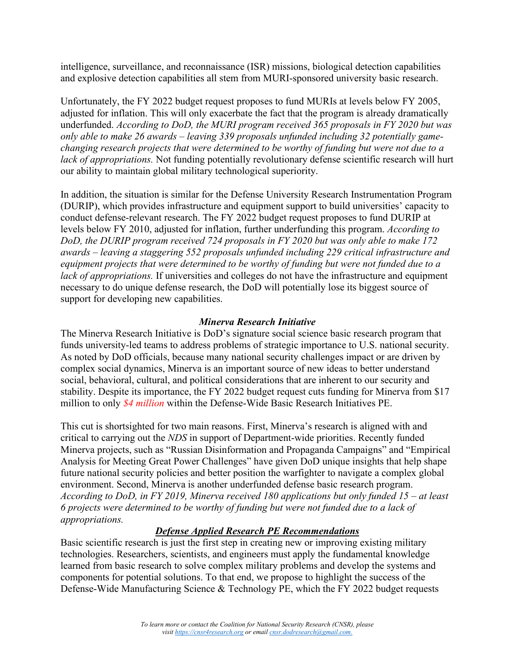intelligence, surveillance, and reconnaissance (ISR) missions, biological detection capabilities and explosive detection capabilities all stem from MURI-sponsored university basic research.

Unfortunately, the FY 2022 budget request proposes to fund MURIs at levels below FY 2005, adjusted for inflation. This will only exacerbate the fact that the program is already dramatically underfunded. *According to DoD, the MURI program received 365 proposals in FY 2020 but was only able to make 26 awards – leaving 339 proposals unfunded including 32 potentially gamechanging research projects that were determined to be worthy of funding but were not due to a lack of appropriations.* Not funding potentially revolutionary defense scientific research will hurt our ability to maintain global military technological superiority.

In addition, the situation is similar for the Defense University Research Instrumentation Program (DURIP), which provides infrastructure and equipment support to build universities' capacity to conduct defense-relevant research. The FY 2022 budget request proposes to fund DURIP at levels below FY 2010, adjusted for inflation, further underfunding this program. *According to DoD, the DURIP program received 724 proposals in FY 2020 but was only able to make 172 awards – leaving a staggering 552 proposals unfunded including 229 critical infrastructure and equipment projects that were determined to be worthy of funding but were not funded due to a lack of appropriations.* If universities and colleges do not have the infrastructure and equipment necessary to do unique defense research, the DoD will potentially lose its biggest source of support for developing new capabilities.

#### *Minerva Research Initiative*

The Minerva Research Initiative is DoD's signature social science basic research program that funds university-led teams to address problems of strategic importance to U.S. national security. As noted by DoD officials, because many national security challenges impact or are driven by complex social dynamics, Minerva is an important source of new ideas to better understand social, behavioral, cultural, and political considerations that are inherent to our security and stability. Despite its importance, the FY 2022 budget request cuts funding for Minerva from \$17 million to only *\$4 million* within the Defense-Wide Basic Research Initiatives PE.

This cut is shortsighted for two main reasons. First, Minerva's research is aligned with and critical to carrying out the *NDS* in support of Department-wide priorities. Recently funded Minerva projects, such as "Russian Disinformation and Propaganda Campaigns" and "Empirical Analysis for Meeting Great Power Challenges" have given DoD unique insights that help shape future national security policies and better position the warfighter to navigate a complex global environment. Second, Minerva is another underfunded defense basic research program. *According to DoD, in FY 2019, Minerva received 180 applications but only funded 15 – at least 6 projects were determined to be worthy of funding but were not funded due to a lack of appropriations.*

# *Defense Applied Research PE Recommendations*

Basic scientific research is just the first step in creating new or improving existing military technologies. Researchers, scientists, and engineers must apply the fundamental knowledge learned from basic research to solve complex military problems and develop the systems and components for potential solutions. To that end, we propose to highlight the success of the Defense-Wide Manufacturing Science & Technology PE, which the FY 2022 budget requests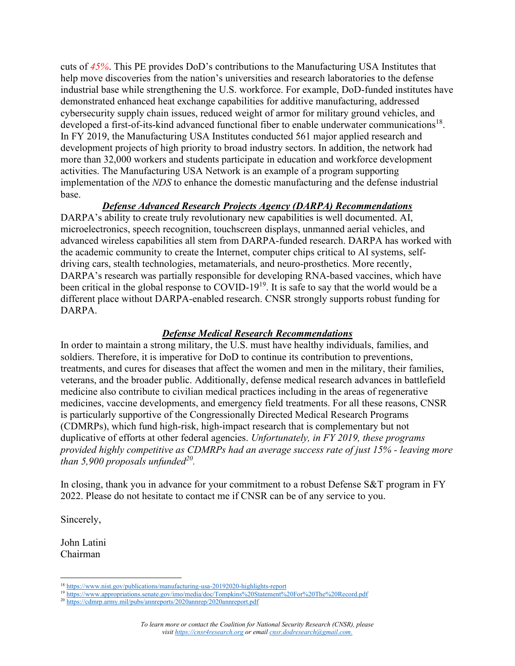cuts of *45%*. This PE provides DoD's contributions to the Manufacturing USA Institutes that help move discoveries from the nation's universities and research laboratories to the defense industrial base while strengthening the U.S. workforce. For example, DoD-funded institutes have demonstrated enhanced heat exchange capabilities for additive manufacturing, addressed cybersecurity supply chain issues, reduced weight of armor for military ground vehicles, and developed a first-of-its-kind advanced functional fiber to enable underwater communications<sup>18</sup>. In FY 2019, the Manufacturing USA Institutes conducted 561 major applied research and development projects of high priority to broad industry sectors. In addition, the network had more than 32,000 workers and students participate in education and workforce development activities. The Manufacturing USA Network is an example of a program supporting implementation of the *NDS* to enhance the domestic manufacturing and the defense industrial base.

#### *Defense Advanced Research Projects Agency (DARPA) Recommendations*

DARPA's ability to create truly revolutionary new capabilities is well documented. AI, microelectronics, speech recognition, touchscreen displays, unmanned aerial vehicles, and advanced wireless capabilities all stem from DARPA-funded research. DARPA has worked with the academic community to create the Internet, computer chips critical to AI systems, selfdriving cars, stealth technologies, metamaterials, and neuro-prosthetics. More recently, DARPA's research was partially responsible for developing RNA-based vaccines, which have been critical in the global response to COVID-19<sup>19</sup>. It is safe to say that the world would be a different place without DARPA-enabled research. CNSR strongly supports robust funding for DARPA.

#### *Defense Medical Research Recommendations*

In order to maintain a strong military, the U.S. must have healthy individuals, families, and soldiers. Therefore, it is imperative for DoD to continue its contribution to preventions, treatments, and cures for diseases that affect the women and men in the military, their families, veterans, and the broader public. Additionally, defense medical research advances in battlefield medicine also contribute to civilian medical practices including in the areas of regenerative medicines, vaccine developments, and emergency field treatments. For all these reasons, CNSR is particularly supportive of the Congressionally Directed Medical Research Programs (CDMRPs), which fund high-risk, high-impact research that is complementary but not duplicative of efforts at other federal agencies. *Unfortunately, in FY 2019, these programs provided highly competitive as CDMRPs had an average success rate of just 15% - leaving more than 5,900 proposals unfunded<sup>20</sup> .*

In closing, thank you in advance for your commitment to a robust Defense S&T program in FY 2022. Please do not hesitate to contact me if CNSR can be of any service to you.

Sincerely,

John Latini Chairman

<sup>18</sup> <https://www.nist.gov/publications/manufacturing-usa-20192020-highlights-report>

<sup>19</sup> <https://www.appropriations.senate.gov/imo/media/doc/Tompkins%20Statement%20For%20The%20Record.pdf>

<sup>20</sup> <https://cdmrp.army.mil/pubs/annreports/2020annrep/2020annreport.pdf>